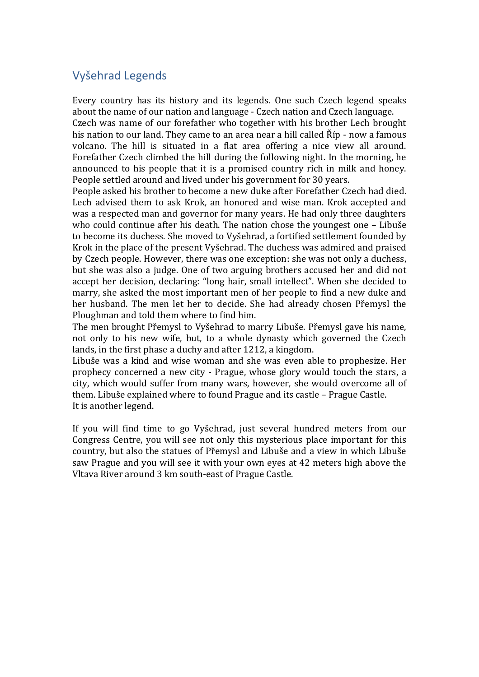## Vyšehrad Legends

Every country has its history and its legends. One such Czech legend speaks about the name of our nation and language - Czech nation and Czech language.

Czech was name of our forefather who together with his brother Lech brought his nation to our land. They came to an area near a hill called Říp - now a famous volcano. The hill is situated in a flat area offering a nice view all around. Forefather Czech climbed the hill during the following night. In the morning, he announced to his people that it is a promised country rich in milk and honey. People settled around and lived under his government for 30 years.

People asked his brother to become a new duke after Forefather Czech had died. Lech advised them to ask Krok, an honored and wise man. Krok accepted and was a respected man and governor for many years. He had only three daughters who could continue after his death. The nation chose the youngest one – Libuše to become its duchess. She moved to Vyšehrad, a fortified settlement founded by Krok in the place of the present Vyšehrad. The duchess was admired and praised by Czech people. However, there was one exception: she was not only a duchess, but she was also a judge. One of two arguing brothers accused her and did not accept her decision, declaring: "long hair, small intellect". When she decided to marry, she asked the most important men of her people to find a new duke and her husband. The men let her to decide. She had already chosen Přemysl the Ploughman and told them where to find him.

The men brought Přemysl to Vyšehrad to marry Libuše. Přemysl gave his name, not only to his new wife, but, to a whole dynasty which governed the Czech lands, in the first phase a duchy and after 1212, a kingdom.

Libuše was a kind and wise woman and she was even able to prophesize. Her prophecy concerned a new city - Prague, whose glory would touch the stars, a city, which would suffer from many wars, however, she would overcome all of them. Libuše explained where to found Prague and its castle – Prague Castle. It is another legend.

If you will find time to go Vyšehrad, just several hundred meters from our Congress Centre, you will see not only this mysterious place important for this country, but also the statues of Přemysl and Libuše and a view in which Libuše saw Prague and you will see it with your own eyes at 42 meters high above the Vltava River around 3 km south-east of Prague Castle.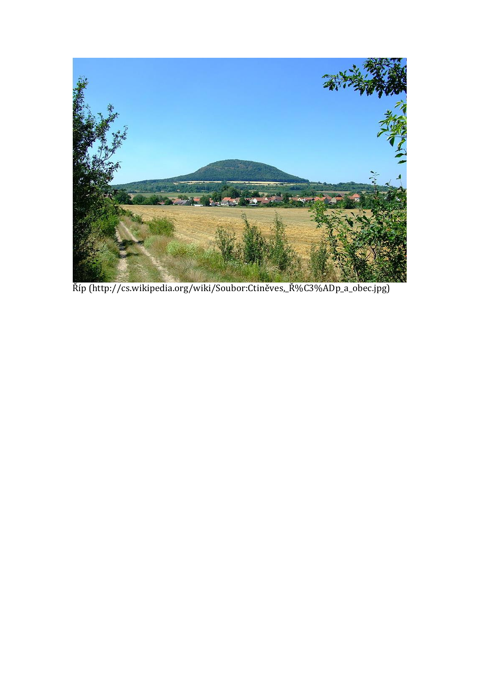

Říp (http://cs.wikipedia.org/wiki/Soubor:Ctiněves,\_Ř%C3%ADp\_a\_obec.jpg)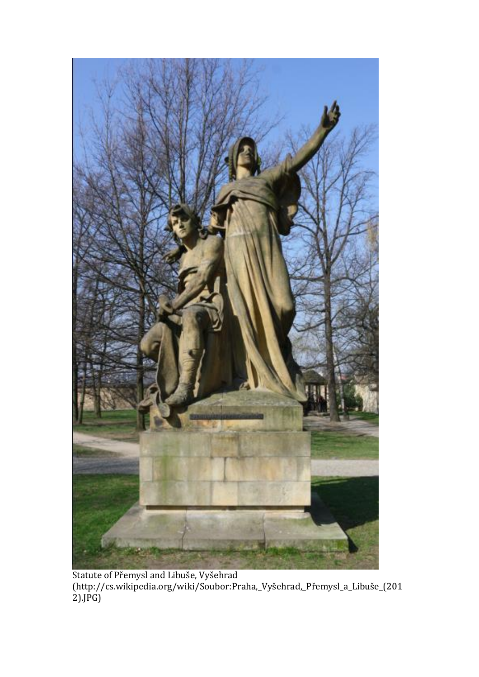

Statute of Přemysl and Libuše, Vyšehrad (http://cs.wikipedia.org/wiki/Soubor:Praha,\_Vyšehrad,\_Přemysl\_a\_Libuše\_(201 2).JPG)